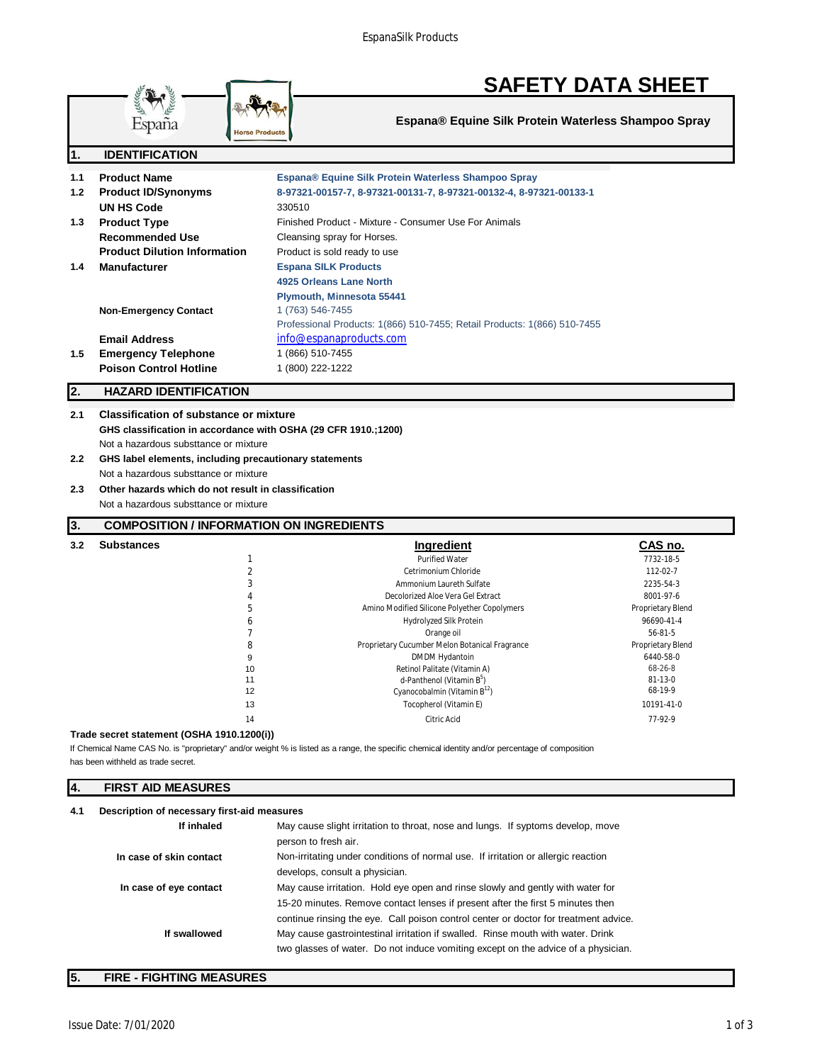

# **SAFETY DATA SHEET**

**Espana® Equine Silk Protein Waterless Shampoo Spray**

| l1.              | <b>IDENTIFICATION</b>               |                                                                          |
|------------------|-------------------------------------|--------------------------------------------------------------------------|
| 1.1              | <b>Product Name</b>                 | Espana® Equine Silk Protein Waterless Shampoo Spray                      |
| 1.2 <sub>1</sub> | <b>Product ID/Synonyms</b>          | 8-97321-00157-7, 8-97321-00131-7, 8-97321-00132-4, 8-97321-00133-1       |
|                  | UN HS Code                          | 330510                                                                   |
| 1.3              | <b>Product Type</b>                 | Finished Product - Mixture - Consumer Use For Animals                    |
|                  | Recommended Use                     | Cleansing spray for Horses.                                              |
|                  | <b>Product Dilution Information</b> | Product is sold ready to use                                             |
| 1.4              | <b>Manufacturer</b>                 | <b>Espana SILK Products</b>                                              |
|                  |                                     | 4925 Orleans Lane North                                                  |
|                  |                                     | <b>Plymouth, Minnesota 55441</b>                                         |
|                  | <b>Non-Emergency Contact</b>        | 1 (763) 546-7455                                                         |
|                  |                                     | Professional Products: 1(866) 510-7455; Retail Products: 1(866) 510-7455 |
|                  | <b>Email Address</b>                | info@espanaproducts.com                                                  |
| 1.5              | <b>Emergency Telephone</b>          | 1 (866) 510-7455                                                         |
|                  | <b>Poison Control Hotline</b>       | 1 (800) 222-1222                                                         |

# **2. HAZARD IDENTIFICATION**

**2.1 Classification of substance or mixture GHS classification in accordance with OSHA (29 CFR 1910.;1200)** Not a hazardous substtance or mixture

```
2.2 GHS label elements, including precautionary statements
Not a hazardous substtance or mixture
```
**2.3 Other hazards which do not result in classification** Not a hazardous substtance or mixture

# **3. COMPOSITION / INFORMATION ON INGREDIENTS**

| 3.2 | <b>Substances</b> |    | Ingredient                                     | CAS no.           |
|-----|-------------------|----|------------------------------------------------|-------------------|
|     |                   |    | <b>Purified Water</b>                          | 7732-18-5         |
|     |                   |    | Cetrimonium Chloride                           | 112-02-7          |
|     |                   |    | Ammonium Laureth Sulfate                       | 2235-54-3         |
|     |                   | 4  | Decolorized Aloe Vera Gel Extract              | 8001-97-6         |
|     |                   | 5  | Amino Modified Silicone Polyether Copolymers   | Proprietary Blend |
|     |                   | b  | Hydrolyzed Silk Protein                        | 96690-41-4        |
|     |                   |    | Orange oil                                     | $56 - 81 - 5$     |
|     |                   | 8  | Proprietary Cucumber Melon Botanical Fragrance | Proprietary Blend |
|     |                   | 9  | DMDM Hydantoin                                 | 6440-58-0         |
|     |                   | 10 | Retinol Palitate (Vitamin A)                   | 68-26-8           |
|     |                   | 11 | d-Panthenol (Vitamin B <sup>5</sup> )          | $81 - 13 - 0$     |
|     |                   | 12 | Cyanocobalmin (Vitamin $B^{12}$ )              | 68-19-9           |
|     |                   | 13 | Tocopherol (Vitamin E)                         | 10191-41-0        |
|     |                   | 14 | Citric Acid                                    | 77-92-9           |

#### **Trade secret statement (OSHA 1910.1200(i))**

has been withheld as trade secret. If Chemical Name CAS No. is "proprietary" and/or weight % is listed as a range, the specific chemical identity and/or percentage of composition

# **4. FIRST AID MEASURES**

| Description of necessary first-aid measures<br>4.1 |                         |                                                                                                                                                                                                                                                          |
|----------------------------------------------------|-------------------------|----------------------------------------------------------------------------------------------------------------------------------------------------------------------------------------------------------------------------------------------------------|
|                                                    | If inhaled              | May cause slight irritation to throat, nose and lungs. If syptoms develop, move<br>person to fresh air.                                                                                                                                                  |
|                                                    | In case of skin contact | Non-irritating under conditions of normal use. If irritation or allergic reaction<br>develops, consult a physician.                                                                                                                                      |
|                                                    | In case of eye contact  | May cause irritation. Hold eye open and rinse slowly and gently with water for<br>15-20 minutes. Remove contact lenses if present after the first 5 minutes then<br>continue rinsing the eye. Call poison control center or doctor for treatment advice. |
|                                                    | If swallowed            | May cause gastrointestinal irritation if swalled. Rinse mouth with water. Drink<br>two glasses of water. Do not induce vomiting except on the advice of a physician.                                                                                     |

# **5. FIRE - FIGHTING MEASURES**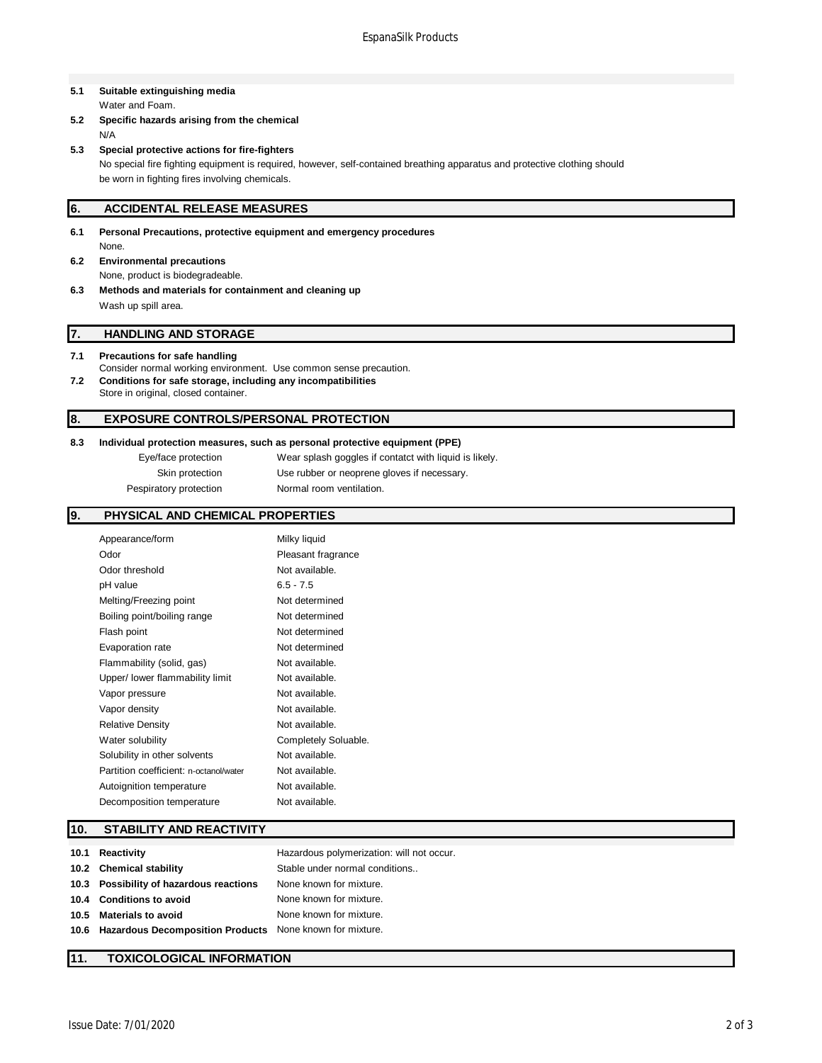## **5.1 Suitable extinguishing media** Water and Foam.

**5.2 Specific hazards arising from the chemical** N/A

# **5.3 Special protective actions for fire-fighters**

No special fire fighting equipment is required, however, self-contained breathing apparatus and protective clothing should be worn in fighting fires involving chemicals.

# **6. ACCIDENTAL RELEASE MEASURES**

- **6.1 Personal Precautions, protective equipment and emergency procedures** None.
- **6.2 Environmental precautions** None, product is biodegradeable.
- **6.3 Methods and materials for containment and cleaning up** Wash up spill area.

# **7. HANDLING AND STORAGE**

### **7.1 Precautions for safe handling**

- Consider normal working environment. Use common sense precaution.
- **7.2 Conditions for safe storage, including any incompatibilities** Store in original, closed container.

# **8. EXPOSURE CONTROLS/PERSONAL PROTECTION**

### **8.3 Individual protection measures, such as personal protective equipment (PPE)**

| Eye/face protection    | Wear splash goggles if contatct with liquid is likely. |
|------------------------|--------------------------------------------------------|
| Skin protection        | Use rubber or neoprene gloves if necessary.            |
| Pespiratory protection | Normal room ventilation.                               |

# **9. PHYSICAL AND CHEMICAL PROPERTIES**

| Appearance/form                        | Milky liquid         |
|----------------------------------------|----------------------|
| Odor                                   | Pleasant fragrance   |
| Odor threshold                         | Not available.       |
| pH value                               | $6.5 - 7.5$          |
| Melting/Freezing point                 | Not determined       |
| Boiling point/boiling range            | Not determined       |
| Flash point                            | Not determined       |
| Evaporation rate                       | Not determined       |
| Flammability (solid, gas)              | Not available.       |
| Upper/ lower flammability limit        | Not available.       |
| Vapor pressure                         | Not available.       |
| Vapor density                          | Not available.       |
| <b>Relative Density</b>                | Not available.       |
| Water solubility                       | Completely Soluable. |
| Solubility in other solvents           | Not available.       |
| Partition coefficient: n-octanol/water | Not available.       |
| Autoignition temperature               | Not available.       |
| Decomposition temperature              | Not available.       |
|                                        |                      |

# **10. STABILITY AND REACTIVITY**

| 10.1 | Reactivity                                                    | Hazardous polymerization: will not occur. |
|------|---------------------------------------------------------------|-------------------------------------------|
|      | 10.2 Chemical stability                                       | Stable under normal conditions            |
|      | 10.3 Possibility of hazardous reactions                       | None known for mixture.                   |
|      | 10.4 Conditions to avoid                                      | None known for mixture.                   |
| 10.5 | <b>Materials to avoid</b>                                     | None known for mixture.                   |
|      | 10.6 Hazardous Decomposition Products None known for mixture. |                                           |

## **11. TOXICOLOGICAL INFORMATION**